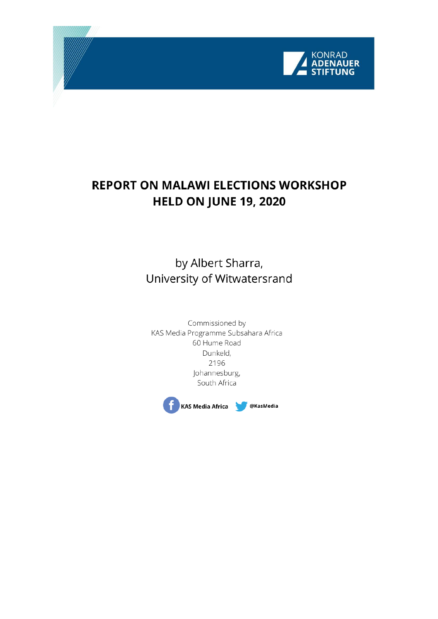

# **REPORT ON MALAWI ELECTIONS WORKSHOP HELD ON JUNE 19, 2020**

by Albert Sharra, University of Witwatersrand

Commissioned by KAS Media Programme Subsahara Africa 60 Hume Road Dunkeld, 2196 Johannesburg, South Africa

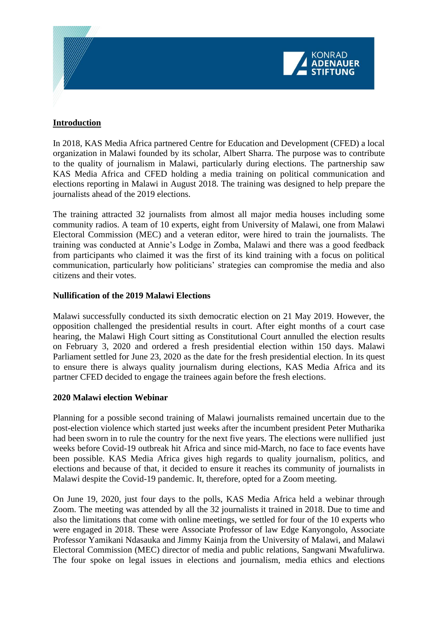

### **Introduction**

In 2018, KAS Media Africa partnered Centre for Education and Development (CFED) a local organization in Malawi founded by its scholar, Albert Sharra. The purpose was to contribute to the quality of journalism in Malawi, particularly during elections. The partnership saw KAS Media Africa and CFED holding a media training on political communication and elections reporting in Malawi in August 2018. The training was designed to help prepare the journalists ahead of the 2019 elections.

The training attracted 32 journalists from almost all major media houses including some community radios. A team of 10 experts, eight from University of Malawi, one from Malawi Electoral Commission (MEC) and a veteran editor, were hired to train the journalists. The training was conducted at Annie's Lodge in Zomba, Malawi and there was a good feedback from participants who claimed it was the first of its kind training with a focus on political communication, particularly how politicians' strategies can compromise the media and also citizens and their votes.

### **Nullification of the 2019 Malawi Elections**

Malawi successfully conducted its sixth democratic election on 21 May 2019. However, the opposition challenged the presidential results in court. After eight months of a court case hearing, the Malawi High Court sitting as Constitutional Court annulled the election results on February 3, 2020 and ordered a fresh presidential election within 150 days. Malawi Parliament settled for June 23, 2020 as the date for the fresh presidential election. In its quest to ensure there is always quality journalism during elections, KAS Media Africa and its partner CFED decided to engage the trainees again before the fresh elections.

#### **2020 Malawi election Webinar**

Planning for a possible second training of Malawi journalists remained uncertain due to the post-election violence which started just weeks after the incumbent president Peter Mutharika had been sworn in to rule the country for the next five years. The elections were nullified just weeks before Covid-19 outbreak hit Africa and since mid-March, no face to face events have been possible. KAS Media Africa gives high regards to quality journalism, politics, and elections and because of that, it decided to ensure it reaches its community of journalists in Malawi despite the Covid-19 pandemic. It, therefore, opted for a Zoom meeting.

On June 19, 2020, just four days to the polls, KAS Media Africa held a webinar through Zoom. The meeting was attended by all the 32 journalists it trained in 2018. Due to time and also the limitations that come with online meetings, we settled for four of the 10 experts who were engaged in 2018. These were Associate Professor of law Edge Kanyongolo, Associate Professor Yamikani Ndasauka and Jimmy Kainja from the University of Malawi, and Malawi Electoral Commission (MEC) director of media and public relations, Sangwani Mwafulirwa. The four spoke on legal issues in elections and journalism, media ethics and elections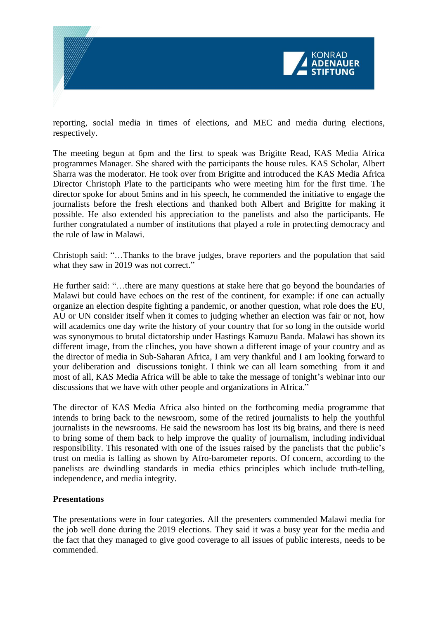

reporting, social media in times of elections, and MEC and media during elections, respectively.

The meeting begun at 6pm and the first to speak was Brigitte Read, KAS Media Africa programmes Manager. She shared with the participants the house rules. KAS Scholar, Albert Sharra was the moderator. He took over from Brigitte and introduced the KAS Media Africa Director Christoph Plate to the participants who were meeting him for the first time. The director spoke for about 5mins and in his speech, he commended the initiative to engage the journalists before the fresh elections and thanked both Albert and Brigitte for making it possible. He also extended his appreciation to the panelists and also the participants. He further congratulated a number of institutions that played a role in protecting democracy and the rule of law in Malawi.

Christoph said: "…Thanks to the brave judges, brave reporters and the population that said what they saw in 2019 was not correct."

He further said: "…there are many questions at stake here that go beyond the boundaries of Malawi but could have echoes on the rest of the continent, for example: if one can actually organize an election despite fighting a pandemic, or another question, what role does the EU, AU or UN consider itself when it comes to judging whether an election was fair or not, how will academics one day write the history of your country that for so long in the outside world was synonymous to brutal dictatorship under Hastings Kamuzu Banda. Malawi has shown its different image, from the clinches, you have shown a different image of your country and as the director of media in Sub-Saharan Africa, I am very thankful and I am looking forward to your deliberation and discussions tonight. I think we can all learn something from it and most of all, KAS Media Africa will be able to take the message of tonight's webinar into our discussions that we have with other people and organizations in Africa."

The director of KAS Media Africa also hinted on the forthcoming media programme that intends to bring back to the newsroom, some of the retired journalists to help the youthful journalists in the newsrooms. He said the newsroom has lost its big brains, and there is need to bring some of them back to help improve the quality of journalism, including individual responsibility. This resonated with one of the issues raised by the panelists that the public's trust on media is falling as shown by Afro-barometer reports. Of concern, according to the panelists are dwindling standards in media ethics principles which include truth-telling, independence, and media integrity.

## **Presentations**

The presentations were in four categories. All the presenters commended Malawi media for the job well done during the 2019 elections. They said it was a busy year for the media and the fact that they managed to give good coverage to all issues of public interests, needs to be commended.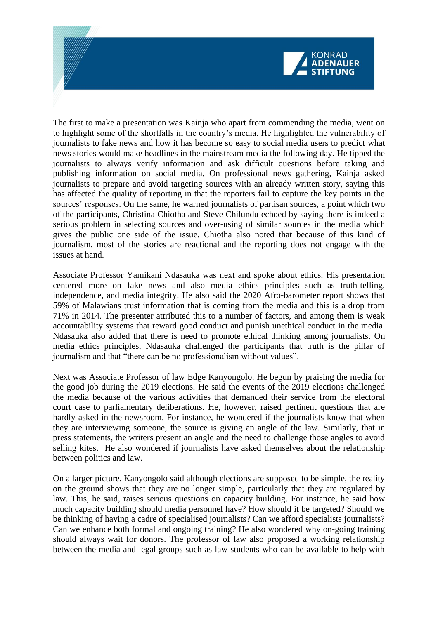

The first to make a presentation was Kainja who apart from commending the media, went on to highlight some of the shortfalls in the country's media. He highlighted the vulnerability of journalists to fake news and how it has become so easy to social media users to predict what news stories would make headlines in the mainstream media the following day. He tipped the journalists to always verify information and ask difficult questions before taking and publishing information on social media. On professional news gathering, Kainja asked journalists to prepare and avoid targeting sources with an already written story, saying this has affected the quality of reporting in that the reporters fail to capture the key points in the sources' responses. On the same, he warned journalists of partisan sources, a point which two of the participants, Christina Chiotha and Steve Chilundu echoed by saying there is indeed a serious problem in selecting sources and over-using of similar sources in the media which gives the public one side of the issue. Chiotha also noted that because of this kind of journalism, most of the stories are reactional and the reporting does not engage with the issues at hand.

Associate Professor Yamikani Ndasauka was next and spoke about ethics. His presentation centered more on fake news and also media ethics principles such as truth-telling, independence, and media integrity. He also said the 2020 Afro-barometer report shows that 59% of Malawians trust information that is coming from the media and this is a drop from 71% in 2014. The presenter attributed this to a number of factors, and among them is weak accountability systems that reward good conduct and punish unethical conduct in the media. Ndasauka also added that there is need to promote ethical thinking among journalists. On media ethics principles, Ndasauka challenged the participants that truth is the pillar of journalism and that "there can be no professionalism without values".

Next was Associate Professor of law Edge Kanyongolo. He begun by praising the media for the good job during the 2019 elections. He said the events of the 2019 elections challenged the media because of the various activities that demanded their service from the electoral court case to parliamentary deliberations. He, however, raised pertinent questions that are hardly asked in the newsroom. For instance, he wondered if the journalists know that when they are interviewing someone, the source is giving an angle of the law. Similarly, that in press statements, the writers present an angle and the need to challenge those angles to avoid selling kites. He also wondered if journalists have asked themselves about the relationship between politics and law.

On a larger picture, Kanyongolo said although elections are supposed to be simple, the reality on the ground shows that they are no longer simple, particularly that they are regulated by law. This, he said, raises serious questions on capacity building. For instance, he said how much capacity building should media personnel have? How should it be targeted? Should we be thinking of having a cadre of specialised journalists? Can we afford specialists journalists? Can we enhance both formal and ongoing training? He also wondered why on-going training should always wait for donors. The professor of law also proposed a working relationship between the media and legal groups such as law students who can be available to help with